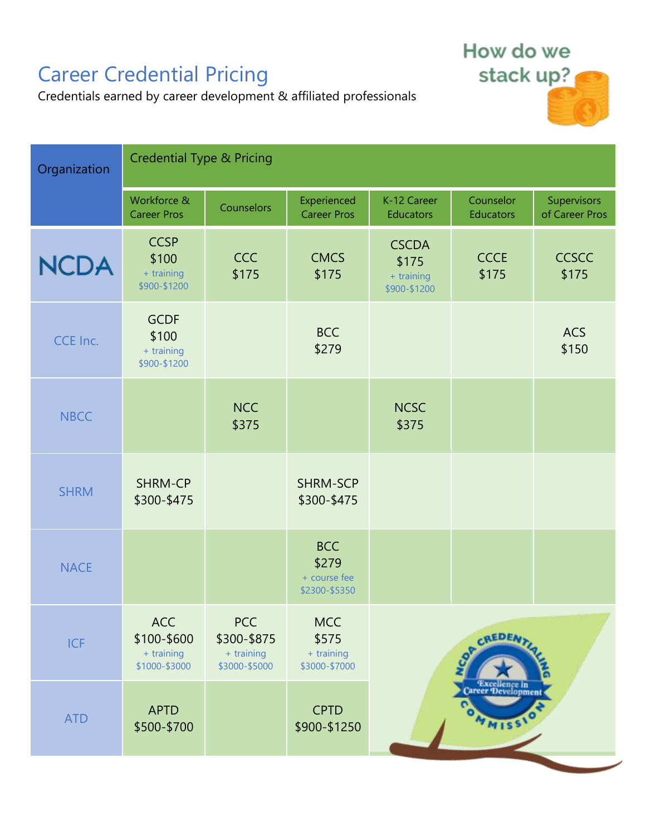## Career Credential Pricing

How do we stack up?

Credentials earned by career development & affiliated professionals

| Organization | <b>Credential Type &amp; Pricing</b>               |                                                          |                                                      |                                                     |                                               |                               |
|--------------|----------------------------------------------------|----------------------------------------------------------|------------------------------------------------------|-----------------------------------------------------|-----------------------------------------------|-------------------------------|
|              | Workforce &<br><b>Career Pros</b>                  | Counselors                                               | Experienced<br><b>Career Pros</b>                    | K-12 Career<br><b>Educators</b>                     | Counselor<br>Educators                        | Supervisors<br>of Career Pros |
| <b>NCDA</b>  | <b>CCSP</b><br>\$100<br>+ training<br>\$900-\$1200 | <b>CCC</b><br>\$175                                      | <b>CMCS</b><br>\$175                                 | <b>CSCDA</b><br>\$175<br>+ training<br>\$900-\$1200 | <b>CCCE</b><br>\$175                          | <b>CCSCC</b><br>\$175         |
| CCE Inc.     | <b>GCDF</b><br>\$100<br>+ training<br>\$900-\$1200 |                                                          | <b>BCC</b><br>\$279                                  |                                                     |                                               | <b>ACS</b><br>\$150           |
| <b>NBCC</b>  |                                                    | <b>NCC</b><br>\$375                                      |                                                      | <b>NCSC</b><br>\$375                                |                                               |                               |
| <b>SHRM</b>  | SHRM-CP<br>\$300-\$475                             |                                                          | <b>SHRM-SCP</b><br>\$300-\$475                       |                                                     |                                               |                               |
| <b>NACE</b>  |                                                    |                                                          | <b>BCC</b><br>\$279<br>+ course fee<br>\$2300-\$5350 |                                                     |                                               |                               |
| <b>ICF</b>   | ACC<br>\$100-\$600<br>+ training<br>\$1000-\$3000  | <b>PCC</b><br>\$300-\$875<br>+ training<br>\$3000-\$5000 | <b>MCC</b><br>\$575<br>+ training<br>\$3000-\$7000   | CREDEN<br>OP                                        |                                               |                               |
| <b>ATD</b>   | <b>APTD</b><br>\$500-\$700                         |                                                          | <b>CPTD</b><br>\$900-\$1250                          |                                                     | Excellence in<br>Career Development<br>OMMISS |                               |